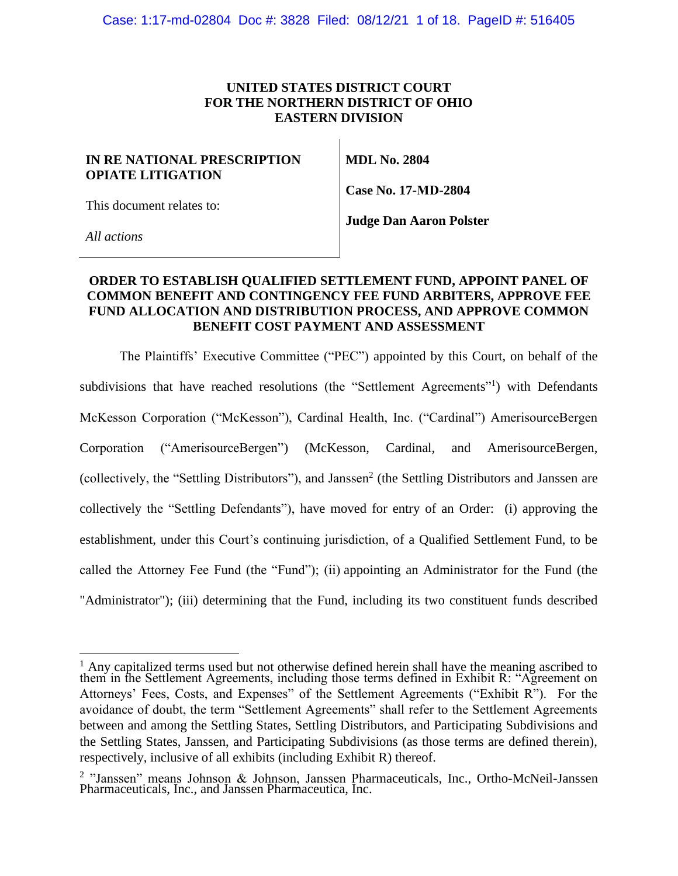# **UNITED STATES DISTRICT COURT FOR THE NORTHERN DISTRICT OF OHIO EASTERN DIVISION**

# **IN RE NATIONAL PRESCRIPTION OPIATE LITIGATION**

**MDL No. 2804** 

**Case No. 17-MD-2804** 

This document relates to:

**Judge Dan Aaron Polster** 

*All actions*

# **ORDER TO ESTABLISH QUALIFIED SETTLEMENT FUND, APPOINT PANEL OF COMMON BENEFIT AND CONTINGENCY FEE FUND ARBITERS, APPROVE FEE FUND ALLOCATION AND DISTRIBUTION PROCESS, AND APPROVE COMMON BENEFIT COST PAYMENT AND ASSESSMENT**

The Plaintiffs' Executive Committee ("PEC") appointed by this Court, on behalf of the subdivisions that have reached resolutions (the "Settlement Agreements"<sup>1</sup>) with Defendants McKesson Corporation ("McKesson"), Cardinal Health, Inc. ("Cardinal") AmerisourceBergen Corporation ("AmerisourceBergen") (McKesson, Cardinal, and AmerisourceBergen, (collectively, the "Settling Distributors"), and Janssen<sup>2</sup> (the Settling Distributors and Janssen are collectively the "Settling Defendants"), have moved for entry of an Order: (i) approving the establishment, under this Court's continuing jurisdiction, of a Qualified Settlement Fund, to be called the Attorney Fee Fund (the "Fund"); (ii) appointing an Administrator for the Fund (the "Administrator"); (iii) determining that the Fund, including its two constituent funds described

<sup>&</sup>lt;sup>1</sup> Any capitalized terms used but not otherwise defined herein shall have the meaning ascribed to them in the Settlement Agreements, including those terms defined in Exhibit R: "Agreement on Attorneys' Fees, Costs, and Expenses" of the Settlement Agreements ("Exhibit R"). For the avoidance of doubt, the term "Settlement Agreements" shall refer to the Settlement Agreements between and among the Settling States, Settling Distributors, and Participating Subdivisions and the Settling States, Janssen, and Participating Subdivisions (as those terms are defined therein), respectively, inclusive of all exhibits (including Exhibit R) thereof.

<sup>&</sup>lt;sup>2</sup> "Janssen" means Johnson & Johnson, Janssen Pharmaceuticals, Inc., Ortho-McNeil-Janssen Pharmaceuticals, Inc., and Janssen Pharmaceutica, Inc.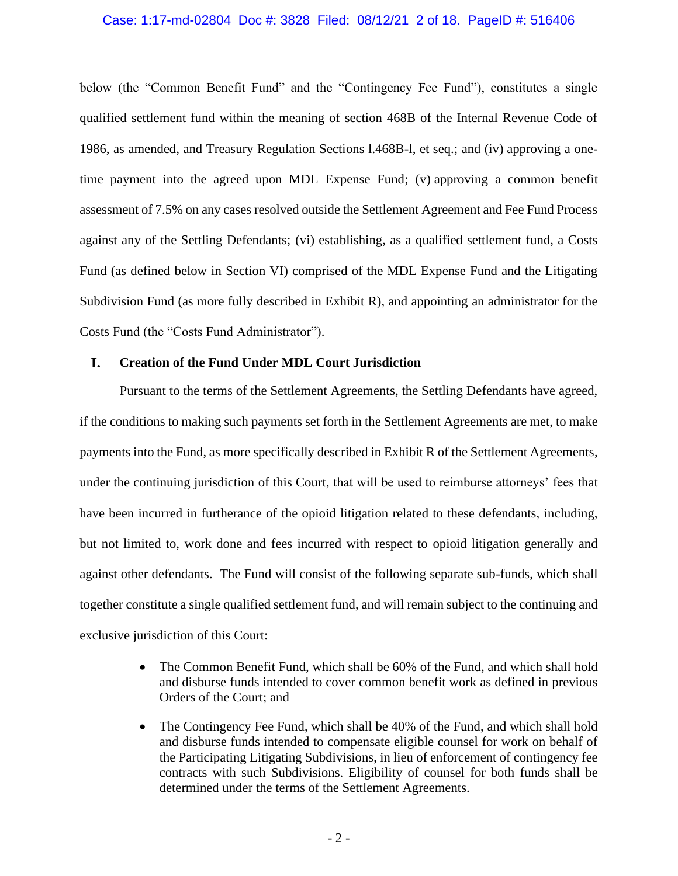## Case: 1:17-md-02804 Doc #: 3828 Filed: 08/12/21 2 of 18. PageID #: 516406

below (the "Common Benefit Fund" and the "Contingency Fee Fund"), constitutes a single qualified settlement fund within the meaning of section 468B of the Internal Revenue Code of 1986, as amended, and Treasury Regulation Sections l.468B-l, et seq.; and (iv) approving a onetime payment into the agreed upon MDL Expense Fund; (v) approving a common benefit assessment of 7.5% on any cases resolved outside the Settlement Agreement and Fee Fund Process against any of the Settling Defendants; (vi) establishing, as a qualified settlement fund, a Costs Fund (as defined below in Section VI) comprised of the MDL Expense Fund and the Litigating Subdivision Fund (as more fully described in Exhibit R), and appointing an administrator for the Costs Fund (the "Costs Fund Administrator").

### L. **Creation of the Fund Under MDL Court Jurisdiction**

Pursuant to the terms of the Settlement Agreements, the Settling Defendants have agreed, if the conditions to making such payments set forth in the Settlement Agreements are met, to make payments into the Fund, as more specifically described in Exhibit R of the Settlement Agreements, under the continuing jurisdiction of this Court, that will be used to reimburse attorneys' fees that have been incurred in furtherance of the opioid litigation related to these defendants, including, but not limited to, work done and fees incurred with respect to opioid litigation generally and against other defendants. The Fund will consist of the following separate sub-funds, which shall together constitute a single qualified settlement fund, and will remain subject to the continuing and exclusive jurisdiction of this Court:

- The Common Benefit Fund, which shall be 60% of the Fund, and which shall hold and disburse funds intended to cover common benefit work as defined in previous Orders of the Court; and
- The Contingency Fee Fund, which shall be 40% of the Fund, and which shall hold and disburse funds intended to compensate eligible counsel for work on behalf of the Participating Litigating Subdivisions, in lieu of enforcement of contingency fee contracts with such Subdivisions. Eligibility of counsel for both funds shall be determined under the terms of the Settlement Agreements.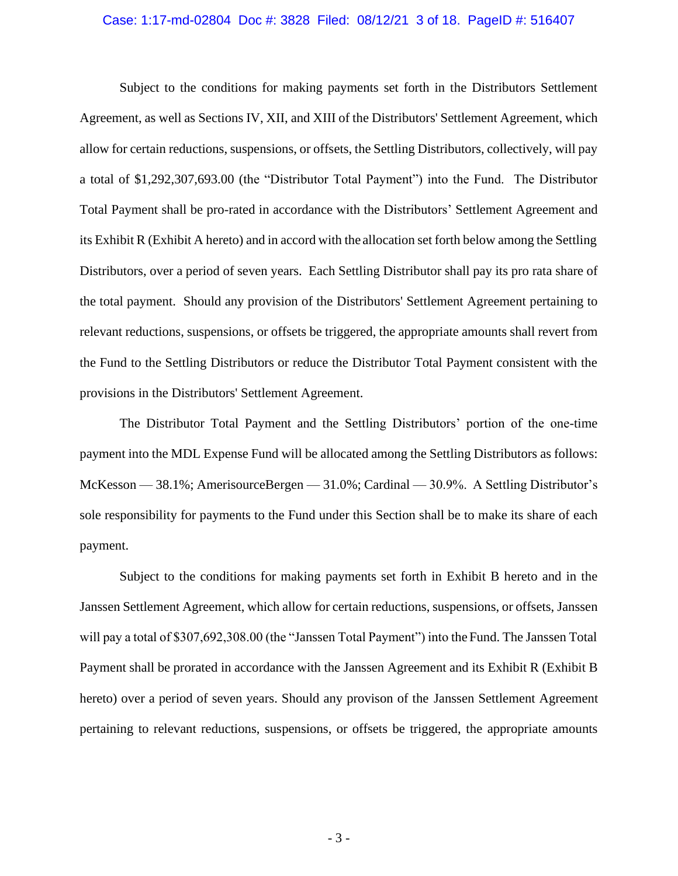### Case: 1:17-md-02804 Doc #: 3828 Filed: 08/12/21 3 of 18. PageID #: 516407

Subject to the conditions for making payments set forth in the Distributors Settlement Agreement, as well as Sections IV, XII, and XIII of the Distributors' Settlement Agreement, which allow for certain reductions, suspensions, or offsets, the Settling Distributors, collectively, will pay a total of \$1,292,307,693.00 (the "Distributor Total Payment") into the Fund. The Distributor Total Payment shall be pro-rated in accordance with the Distributors' Settlement Agreement and its Exhibit R (Exhibit A hereto) and in accord with the allocation set forth below among the Settling Distributors, over a period of seven years. Each Settling Distributor shall pay its pro rata share of the total payment. Should any provision of the Distributors' Settlement Agreement pertaining to relevant reductions, suspensions, or offsets be triggered, the appropriate amounts shall revert from the Fund to the Settling Distributors or reduce the Distributor Total Payment consistent with the provisions in the Distributors' Settlement Agreement.

The Distributor Total Payment and the Settling Distributors' portion of the one-time payment into the MDL Expense Fund will be allocated among the Settling Distributors as follows: McKesson — 38.1%; AmerisourceBergen — 31.0%; Cardinal — 30.9%. A Settling Distributor's sole responsibility for payments to the Fund under this Section shall be to make its share of each payment.

Subject to the conditions for making payments set forth in Exhibit B hereto and in the Janssen Settlement Agreement, which allow for certain reductions, suspensions, or offsets, Janssen will pay a total of \$307,692,308.00 (the "Janssen Total Payment") into the Fund. The Janssen Total Payment shall be prorated in accordance with the Janssen Agreement and its Exhibit R (Exhibit B hereto) over a period of seven years. Should any provison of the Janssen Settlement Agreement pertaining to relevant reductions, suspensions, or offsets be triggered, the appropriate amounts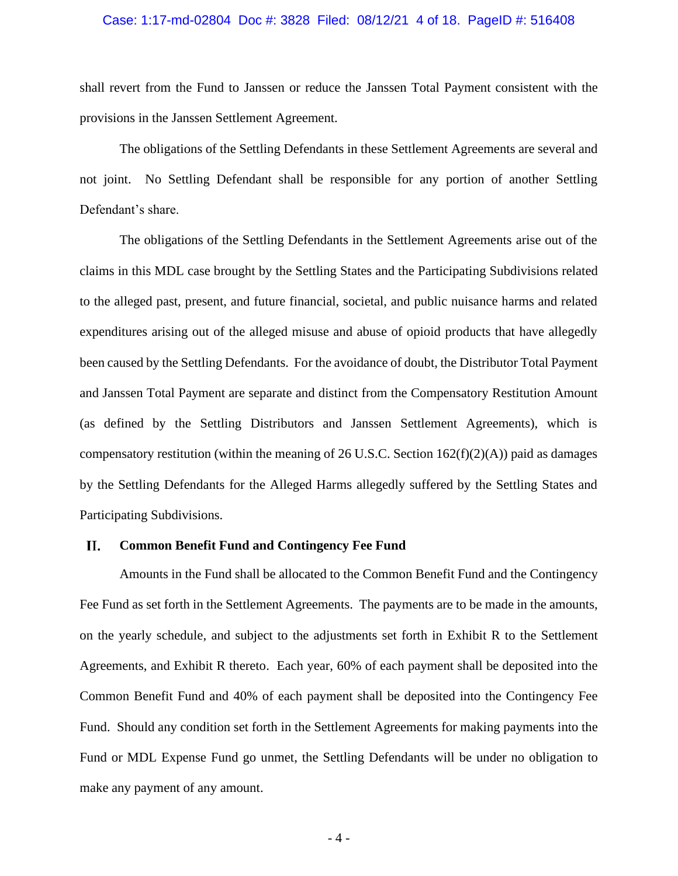## Case: 1:17-md-02804 Doc #: 3828 Filed: 08/12/21 4 of 18. PageID #: 516408

shall revert from the Fund to Janssen or reduce the Janssen Total Payment consistent with the provisions in the Janssen Settlement Agreement.

The obligations of the Settling Defendants in these Settlement Agreements are several and not joint. No Settling Defendant shall be responsible for any portion of another Settling Defendant's share.

The obligations of the Settling Defendants in the Settlement Agreements arise out of the claims in this MDL case brought by the Settling States and the Participating Subdivisions related to the alleged past, present, and future financial, societal, and public nuisance harms and related expenditures arising out of the alleged misuse and abuse of opioid products that have allegedly been caused by the Settling Defendants. For the avoidance of doubt, the Distributor Total Payment and Janssen Total Payment are separate and distinct from the Compensatory Restitution Amount (as defined by the Settling Distributors and Janssen Settlement Agreements), which is compensatory restitution (within the meaning of 26 U.S.C. Section  $162(f)(2)(A)$ ) paid as damages by the Settling Defendants for the Alleged Harms allegedly suffered by the Settling States and Participating Subdivisions.

### II. **Common Benefit Fund and Contingency Fee Fund**

Amounts in the Fund shall be allocated to the Common Benefit Fund and the Contingency Fee Fund as set forth in the Settlement Agreements. The payments are to be made in the amounts, on the yearly schedule, and subject to the adjustments set forth in Exhibit R to the Settlement Agreements, and Exhibit R thereto. Each year, 60% of each payment shall be deposited into the Common Benefit Fund and 40% of each payment shall be deposited into the Contingency Fee Fund. Should any condition set forth in the Settlement Agreements for making payments into the Fund or MDL Expense Fund go unmet, the Settling Defendants will be under no obligation to make any payment of any amount.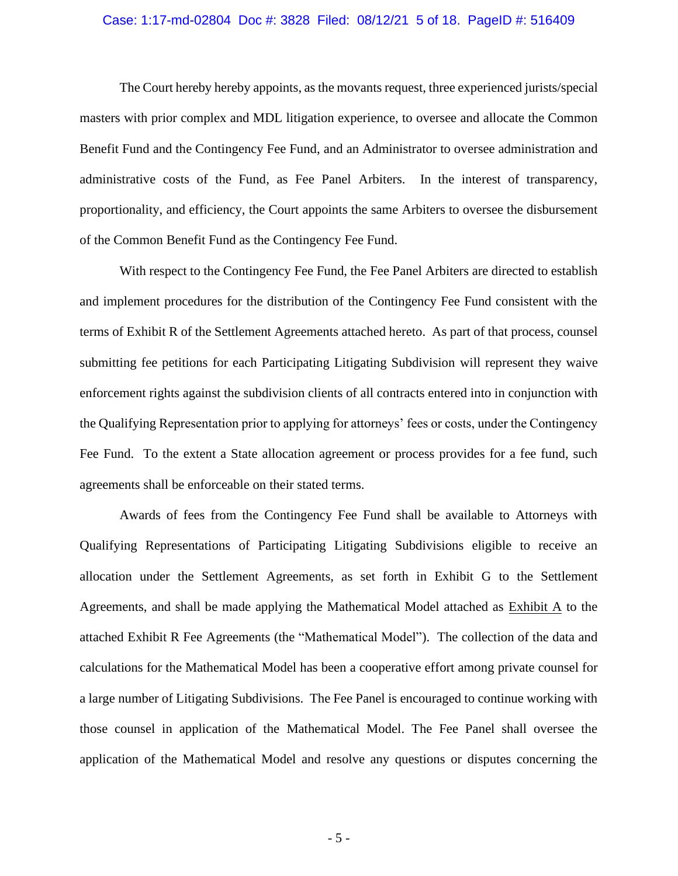## Case: 1:17-md-02804 Doc #: 3828 Filed: 08/12/21 5 of 18. PageID #: 516409

The Court hereby hereby appoints, as the movants request, three experienced jurists/special masters with prior complex and MDL litigation experience, to oversee and allocate the Common Benefit Fund and the Contingency Fee Fund, and an Administrator to oversee administration and administrative costs of the Fund, as Fee Panel Arbiters. In the interest of transparency, proportionality, and efficiency, the Court appoints the same Arbiters to oversee the disbursement of the Common Benefit Fund as the Contingency Fee Fund.

With respect to the Contingency Fee Fund, the Fee Panel Arbiters are directed to establish and implement procedures for the distribution of the Contingency Fee Fund consistent with the terms of Exhibit R of the Settlement Agreements attached hereto. As part of that process, counsel submitting fee petitions for each Participating Litigating Subdivision will represent they waive enforcement rights against the subdivision clients of all contracts entered into in conjunction with the Qualifying Representation prior to applying for attorneys' fees or costs, under the Contingency Fee Fund. To the extent a State allocation agreement or process provides for a fee fund, such agreements shall be enforceable on their stated terms.

Awards of fees from the Contingency Fee Fund shall be available to Attorneys with Qualifying Representations of Participating Litigating Subdivisions eligible to receive an allocation under the Settlement Agreements, as set forth in Exhibit G to the Settlement Agreements, and shall be made applying the Mathematical Model attached as Exhibit A to the attached Exhibit R Fee Agreements (the "Mathematical Model"). The collection of the data and calculations for the Mathematical Model has been a cooperative effort among private counsel for a large number of Litigating Subdivisions. The Fee Panel is encouraged to continue working with those counsel in application of the Mathematical Model. The Fee Panel shall oversee the application of the Mathematical Model and resolve any questions or disputes concerning the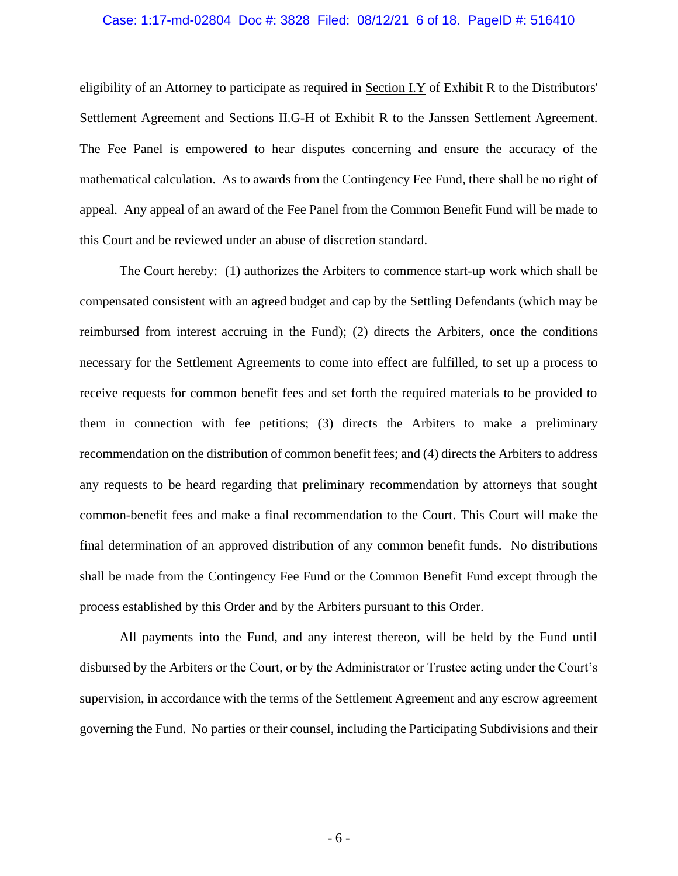## Case: 1:17-md-02804 Doc #: 3828 Filed: 08/12/21 6 of 18. PageID #: 516410

eligibility of an Attorney to participate as required in Section I.Y of Exhibit R to the Distributors' Settlement Agreement and Sections II.G-H of Exhibit R to the Janssen Settlement Agreement. The Fee Panel is empowered to hear disputes concerning and ensure the accuracy of the mathematical calculation. As to awards from the Contingency Fee Fund, there shall be no right of appeal. Any appeal of an award of the Fee Panel from the Common Benefit Fund will be made to this Court and be reviewed under an abuse of discretion standard.

The Court hereby: (1) authorizes the Arbiters to commence start-up work which shall be compensated consistent with an agreed budget and cap by the Settling Defendants (which may be reimbursed from interest accruing in the Fund); (2) directs the Arbiters, once the conditions necessary for the Settlement Agreements to come into effect are fulfilled, to set up a process to receive requests for common benefit fees and set forth the required materials to be provided to them in connection with fee petitions; (3) directs the Arbiters to make a preliminary recommendation on the distribution of common benefit fees; and (4) directs the Arbiters to address any requests to be heard regarding that preliminary recommendation by attorneys that sought common-benefit fees and make a final recommendation to the Court. This Court will make the final determination of an approved distribution of any common benefit funds. No distributions shall be made from the Contingency Fee Fund or the Common Benefit Fund except through the process established by this Order and by the Arbiters pursuant to this Order.

All payments into the Fund, and any interest thereon, will be held by the Fund until disbursed by the Arbiters or the Court, or by the Administrator or Trustee acting under the Court's supervision, in accordance with the terms of the Settlement Agreement and any escrow agreement governing the Fund. No parties or their counsel, including the Participating Subdivisions and their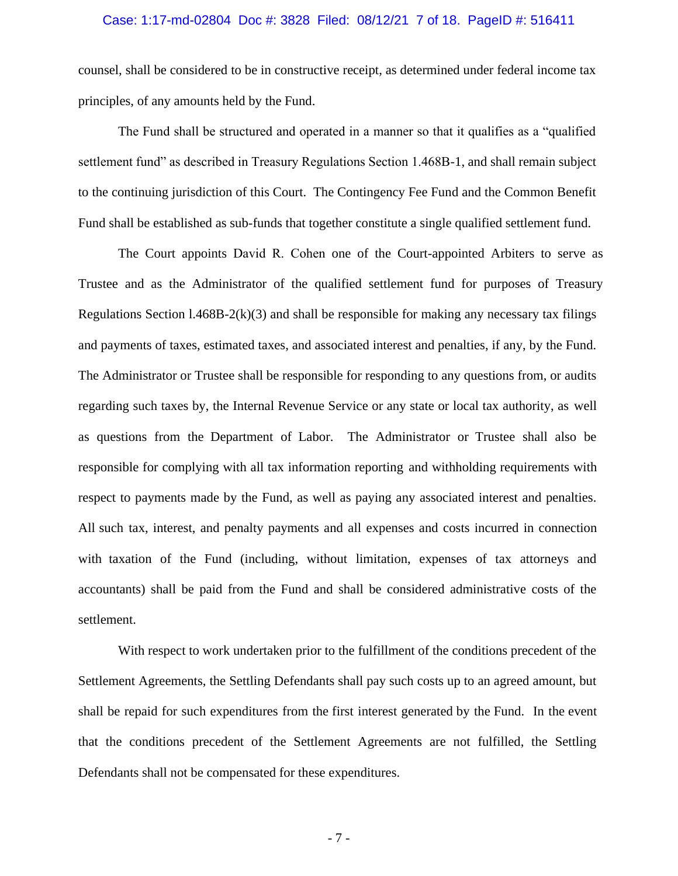## Case: 1:17-md-02804 Doc #: 3828 Filed: 08/12/21 7 of 18. PageID #: 516411

counsel, shall be considered to be in constructive receipt, as determined under federal income tax principles, of any amounts held by the Fund.

The Fund shall be structured and operated in a manner so that it qualifies as a "qualified settlement fund" as described in Treasury Regulations Section 1.468B-1, and shall remain subject to the continuing jurisdiction of this Court. The Contingency Fee Fund and the Common Benefit Fund shall be established as sub-funds that together constitute a single qualified settlement fund.

The Court appoints David R. Cohen one of the Court-appointed Arbiters to serve as Trustee and as the Administrator of the qualified settlement fund for purposes of Treasury Regulations Section 1.468B-2(k)(3) and shall be responsible for making any necessary tax filings and payments of taxes, estimated taxes, and associated interest and penalties, if any, by the Fund. The Administrator or Trustee shall be responsible for responding to any questions from, or audits regarding such taxes by, the Internal Revenue Service or any state or local tax authority, as well as questions from the Department of Labor. The Administrator or Trustee shall also be responsible for complying with all tax information reporting and withholding requirements with respect to payments made by the Fund, as well as paying any associated interest and penalties. All such tax, interest, and penalty payments and all expenses and costs incurred in connection with taxation of the Fund (including, without limitation, expenses of tax attorneys and accountants) shall be paid from the Fund and shall be considered administrative costs of the settlement.

With respect to work undertaken prior to the fulfillment of the conditions precedent of the Settlement Agreements, the Settling Defendants shall pay such costs up to an agreed amount, but shall be repaid for such expenditures from the first interest generated by the Fund. In the event that the conditions precedent of the Settlement Agreements are not fulfilled, the Settling Defendants shall not be compensated for these expenditures.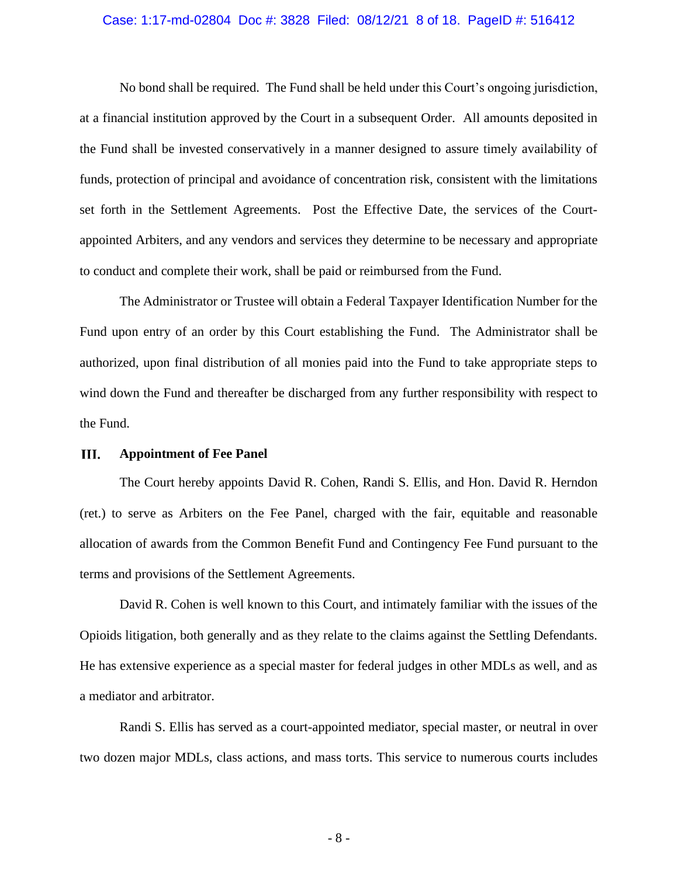## Case: 1:17-md-02804 Doc #: 3828 Filed: 08/12/21 8 of 18. PageID #: 516412

No bond shall be required. The Fund shall be held under this Court's ongoing jurisdiction, at a financial institution approved by the Court in a subsequent Order. All amounts deposited in the Fund shall be invested conservatively in a manner designed to assure timely availability of funds, protection of principal and avoidance of concentration risk, consistent with the limitations set forth in the Settlement Agreements. Post the Effective Date, the services of the Courtappointed Arbiters, and any vendors and services they determine to be necessary and appropriate to conduct and complete their work, shall be paid or reimbursed from the Fund.

The Administrator or Trustee will obtain a Federal Taxpayer Identification Number for the Fund upon entry of an order by this Court establishing the Fund. The Administrator shall be authorized, upon final distribution of all monies paid into the Fund to take appropriate steps to wind down the Fund and thereafter be discharged from any further responsibility with respect to the Fund.

#### Ш. **Appointment of Fee Panel**

The Court hereby appoints David R. Cohen, Randi S. Ellis, and Hon. David R. Herndon (ret.) to serve as Arbiters on the Fee Panel, charged with the fair, equitable and reasonable allocation of awards from the Common Benefit Fund and Contingency Fee Fund pursuant to the terms and provisions of the Settlement Agreements.

David R. Cohen is well known to this Court, and intimately familiar with the issues of the Opioids litigation, both generally and as they relate to the claims against the Settling Defendants. He has extensive experience as a special master for federal judges in other MDLs as well, and as a mediator and arbitrator.

Randi S. Ellis has served as a court-appointed mediator, special master, or neutral in over two dozen major MDLs, class actions, and mass torts. This service to numerous courts includes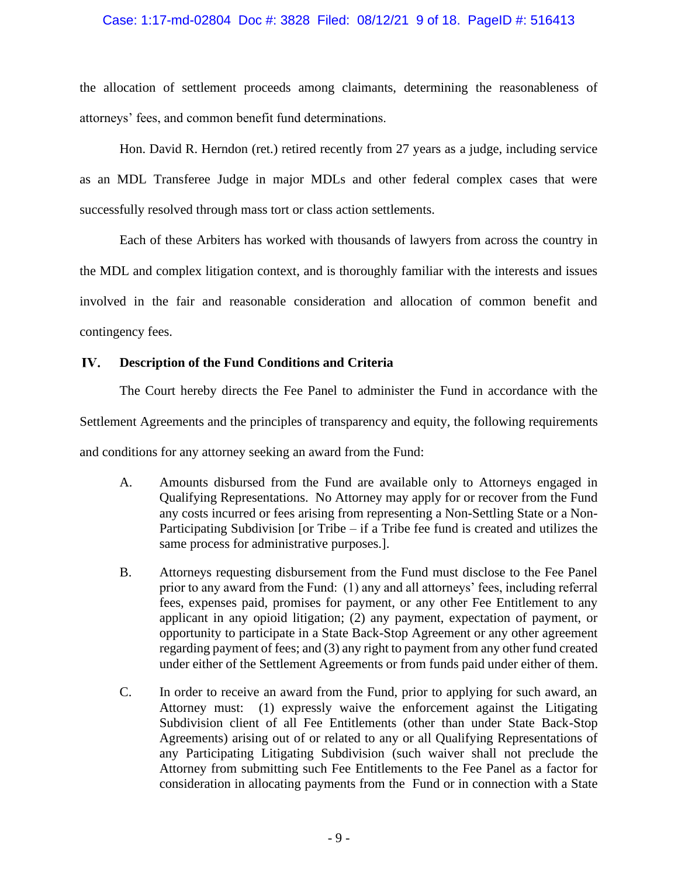## Case: 1:17-md-02804 Doc #: 3828 Filed: 08/12/21 9 of 18. PageID #: 516413

the allocation of settlement proceeds among claimants, determining the reasonableness of attorneys' fees, and common benefit fund determinations.

Hon. David R. Herndon (ret.) retired recently from 27 years as a judge, including service as an MDL Transferee Judge in major MDLs and other federal complex cases that were successfully resolved through mass tort or class action settlements.

Each of these Arbiters has worked with thousands of lawyers from across the country in the MDL and complex litigation context, and is thoroughly familiar with the interests and issues involved in the fair and reasonable consideration and allocation of common benefit and contingency fees.

### <span id="page-8-0"></span>**Description of the Fund Conditions and Criteria**  $IV.$

The Court hereby directs the Fee Panel to administer the Fund in accordance with the Settlement Agreements and the principles of transparency and equity, the following requirements and conditions for any attorney seeking an award from the Fund:

- A. Amounts disbursed from the Fund are available only to Attorneys engaged in Qualifying Representations. No Attorney may apply for or recover from the Fund any costs incurred or fees arising from representing a Non-Settling State or a Non-Participating Subdivision [or Tribe – if a Tribe fee fund is created and utilizes the same process for administrative purposes.].
- B. Attorneys requesting disbursement from the Fund must disclose to the Fee Panel prior to any award from the Fund: (1) any and all attorneys' fees, including referral fees, expenses paid, promises for payment, or any other Fee Entitlement to any applicant in any opioid litigation; (2) any payment, expectation of payment, or opportunity to participate in a State Back-Stop Agreement or any other agreement regarding payment of fees; and (3) any right to payment from any other fund created under either of the Settlement Agreements or from funds paid under either of them.
- C. In order to receive an award from the Fund, prior to applying for such award, an Attorney must: (1) expressly waive the enforcement against the Litigating Subdivision client of all Fee Entitlements (other than under State Back-Stop Agreements) arising out of or related to any or all Qualifying Representations of any Participating Litigating Subdivision (such waiver shall not preclude the Attorney from submitting such Fee Entitlements to the Fee Panel as a factor for consideration in allocating payments from the Fund or in connection with a State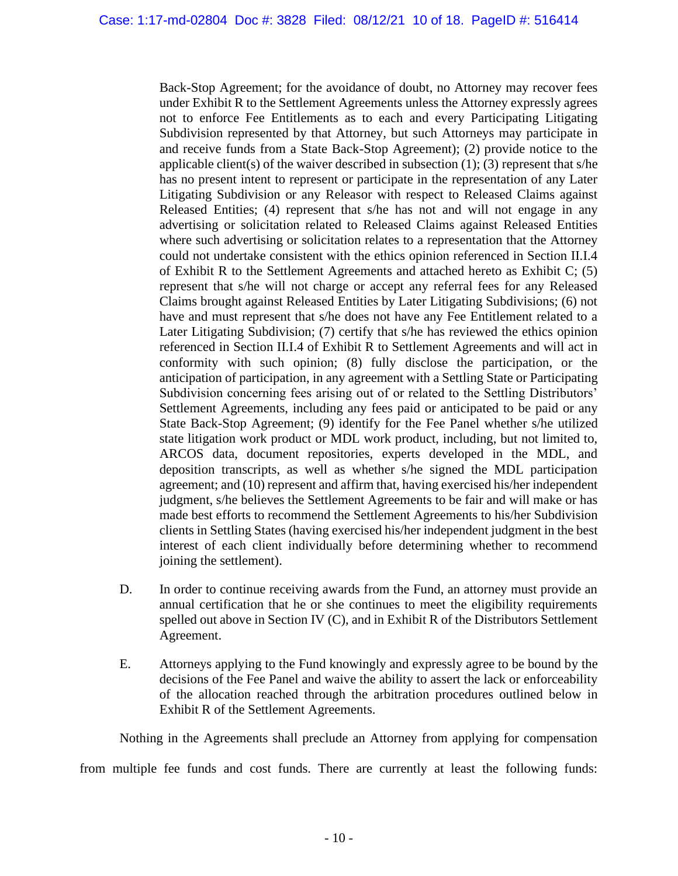Back-Stop Agreement; for the avoidance of doubt, no Attorney may recover fees under Exhibit R to the Settlement Agreements unless the Attorney expressly agrees not to enforce Fee Entitlements as to each and every Participating Litigating Subdivision represented by that Attorney, but such Attorneys may participate in and receive funds from a State Back-Stop Agreement); (2) provide notice to the applicable client(s) of the waiver described in subsection  $(1)$ ;  $(3)$  represent that s/he has no present intent to represent or participate in the representation of any Later Litigating Subdivision or any Releasor with respect to Released Claims against Released Entities; (4) represent that s/he has not and will not engage in any advertising or solicitation related to Released Claims against Released Entities where such advertising or solicitation relates to a representation that the Attorney could not undertake consistent with the ethics opinion referenced in Section II.I.4 of Exhibit R to the Settlement Agreements and attached hereto as Exhibit C; (5) represent that s/he will not charge or accept any referral fees for any Released Claims brought against Released Entities by Later Litigating Subdivisions; (6) not have and must represent that s/he does not have any Fee Entitlement related to a Later Litigating Subdivision; (7) certify that s/he has reviewed the ethics opinion referenced in Section II.I.4 of Exhibit R to Settlement Agreements and will act in conformity with such opinion; (8) fully disclose the participation, or the anticipation of participation, in any agreement with a Settling State or Participating Subdivision concerning fees arising out of or related to the Settling Distributors' Settlement Agreements, including any fees paid or anticipated to be paid or any State Back-Stop Agreement; (9) identify for the Fee Panel whether s/he utilized state litigation work product or MDL work product, including, but not limited to, ARCOS data, document repositories, experts developed in the MDL, and deposition transcripts, as well as whether s/he signed the MDL participation agreement; and (10) represent and affirm that, having exercised his/her independent judgment, s/he believes the Settlement Agreements to be fair and will make or has made best efforts to recommend the Settlement Agreements to his/her Subdivision clients in Settling States (having exercised his/her independent judgment in the best interest of each client individually before determining whether to recommend joining the settlement).

- D. In order to continue receiving awards from the Fund, an attorney must provide an annual certification that he or she continues to meet the eligibility requirements spelled out above in Section [IV](#page-8-0) (C), and in Exhibit R of the Distributors Settlement Agreement.
- E. Attorneys applying to the Fund knowingly and expressly agree to be bound by the decisions of the Fee Panel and waive the ability to assert the lack or enforceability of the allocation reached through the arbitration procedures outlined below in Exhibit R of the Settlement Agreements.

Nothing in the Agreements shall preclude an Attorney from applying for compensation

from multiple fee funds and cost funds. There are currently at least the following funds: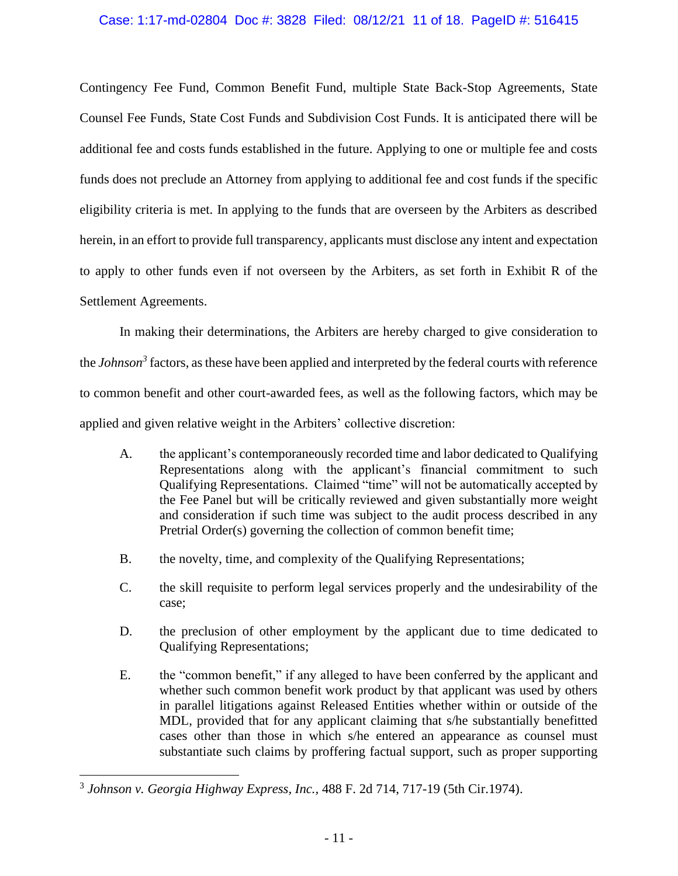# Case: 1:17-md-02804 Doc #: 3828 Filed: 08/12/21 11 of 18. PageID #: 516415

Contingency Fee Fund, Common Benefit Fund, multiple State Back-Stop Agreements, State Counsel Fee Funds, State Cost Funds and Subdivision Cost Funds. It is anticipated there will be additional fee and costs funds established in the future. Applying to one or multiple fee and costs funds does not preclude an Attorney from applying to additional fee and cost funds if the specific eligibility criteria is met. In applying to the funds that are overseen by the Arbiters as described herein, in an effort to provide full transparency, applicants must disclose any intent and expectation to apply to other funds even if not overseen by the Arbiters, as set forth in Exhibit R of the Settlement Agreements.

In making their determinations, the Arbiters are hereby charged to give consideration to the *Johnson<sup>3</sup>* factors, asthese have been applied and interpreted by the federal courts with reference to common benefit and other court-awarded fees, as well as the following factors, which may be applied and given relative weight in the Arbiters' collective discretion:

- A. the applicant's contemporaneously recorded time and labor dedicated to Qualifying Representations along with the applicant's financial commitment to such Qualifying Representations. Claimed "time" will not be automatically accepted by the Fee Panel but will be critically reviewed and given substantially more weight and consideration if such time was subject to the audit process described in any Pretrial Order(s) governing the collection of common benefit time;
- B. the novelty, time, and complexity of the Qualifying Representations;
- C. the skill requisite to perform legal services properly and the undesirability of the case;
- D. the preclusion of other employment by the applicant due to time dedicated to Qualifying Representations;
- E. the "common benefit," if any alleged to have been conferred by the applicant and whether such common benefit work product by that applicant was used by others in parallel litigations against Released Entities whether within or outside of the MDL, provided that for any applicant claiming that s/he substantially benefitted cases other than those in which s/he entered an appearance as counsel must substantiate such claims by proffering factual support, such as proper supporting

<sup>3</sup> *Johnson v. Georgia Highway Express, Inc.,* 488 F. 2d 714, 717-19 (5th Cir.1974).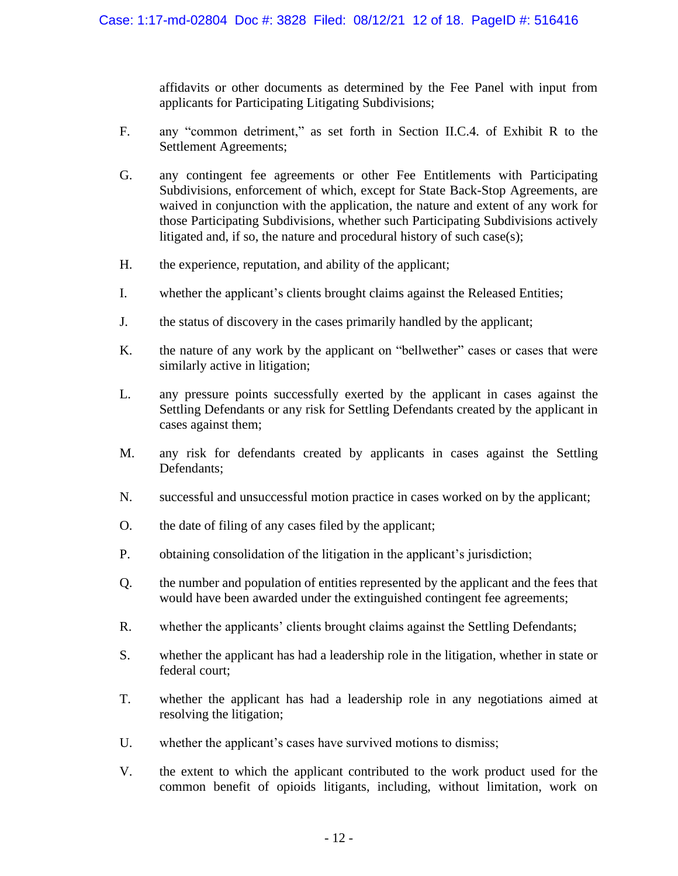affidavits or other documents as determined by the Fee Panel with input from applicants for Participating Litigating Subdivisions;

- F. any "common detriment," as set forth in Section II.C.4. of Exhibit R to the Settlement Agreements;
- G. any contingent fee agreements or other Fee Entitlements with Participating Subdivisions, enforcement of which, except for State Back-Stop Agreements, are waived in conjunction with the application, the nature and extent of any work for those Participating Subdivisions, whether such Participating Subdivisions actively litigated and, if so, the nature and procedural history of such case(s);
- H. the experience, reputation, and ability of the applicant;
- I. whether the applicant's clients brought claims against the Released Entities;
- J. the status of discovery in the cases primarily handled by the applicant;
- K. the nature of any work by the applicant on "bellwether" cases or cases that were similarly active in litigation;
- L. any pressure points successfully exerted by the applicant in cases against the Settling Defendants or any risk for Settling Defendants created by the applicant in cases against them;
- M. any risk for defendants created by applicants in cases against the Settling Defendants;
- N. successful and unsuccessful motion practice in cases worked on by the applicant;
- O. the date of filing of any cases filed by the applicant;
- P. obtaining consolidation of the litigation in the applicant's jurisdiction;
- Q. the number and population of entities represented by the applicant and the fees that would have been awarded under the extinguished contingent fee agreements;
- R. whether the applicants' clients brought claims against the Settling Defendants;
- S. whether the applicant has had a leadership role in the litigation, whether in state or federal court;
- T. whether the applicant has had a leadership role in any negotiations aimed at resolving the litigation;
- U. whether the applicant's cases have survived motions to dismiss;
- V. the extent to which the applicant contributed to the work product used for the common benefit of opioids litigants, including, without limitation, work on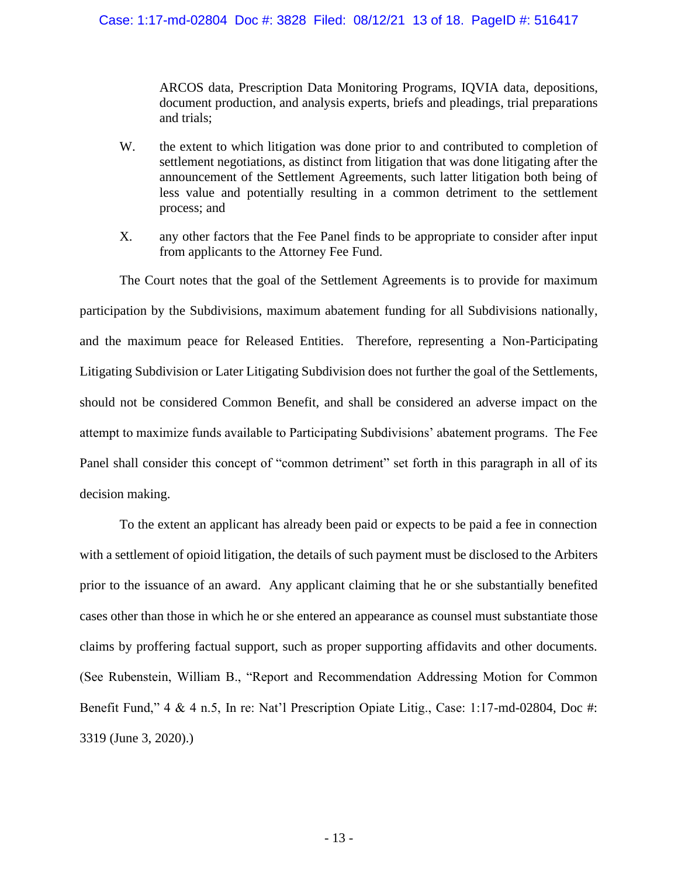# Case: 1:17-md-02804 Doc #: 3828 Filed: 08/12/21 13 of 18. PageID #: 516417

ARCOS data, Prescription Data Monitoring Programs, IQVIA data, depositions, document production, and analysis experts, briefs and pleadings, trial preparations and trials;

- W. the extent to which litigation was done prior to and contributed to completion of settlement negotiations, as distinct from litigation that was done litigating after the announcement of the Settlement Agreements, such latter litigation both being of less value and potentially resulting in a common detriment to the settlement process; and
- X. any other factors that the Fee Panel finds to be appropriate to consider after input from applicants to the Attorney Fee Fund.

The Court notes that the goal of the Settlement Agreements is to provide for maximum participation by the Subdivisions, maximum abatement funding for all Subdivisions nationally, and the maximum peace for Released Entities. Therefore, representing a Non-Participating Litigating Subdivision or Later Litigating Subdivision does not further the goal of the Settlements, should not be considered Common Benefit, and shall be considered an adverse impact on the attempt to maximize funds available to Participating Subdivisions' abatement programs. The Fee Panel shall consider this concept of "common detriment" set forth in this paragraph in all of its decision making.

To the extent an applicant has already been paid or expects to be paid a fee in connection with a settlement of opioid litigation, the details of such payment must be disclosed to the Arbiters prior to the issuance of an award. Any applicant claiming that he or she substantially benefited cases other than those in which he or she entered an appearance as counsel must substantiate those claims by proffering factual support, such as proper supporting affidavits and other documents. (See Rubenstein, William B., "Report and Recommendation Addressing Motion for Common Benefit Fund,"  $4 \& 4 \text{ n.5}$ , In re: Nat'l Prescription Opiate Litig., Case: 1:17-md-02804, Doc #: 3319 (June 3, 2020).)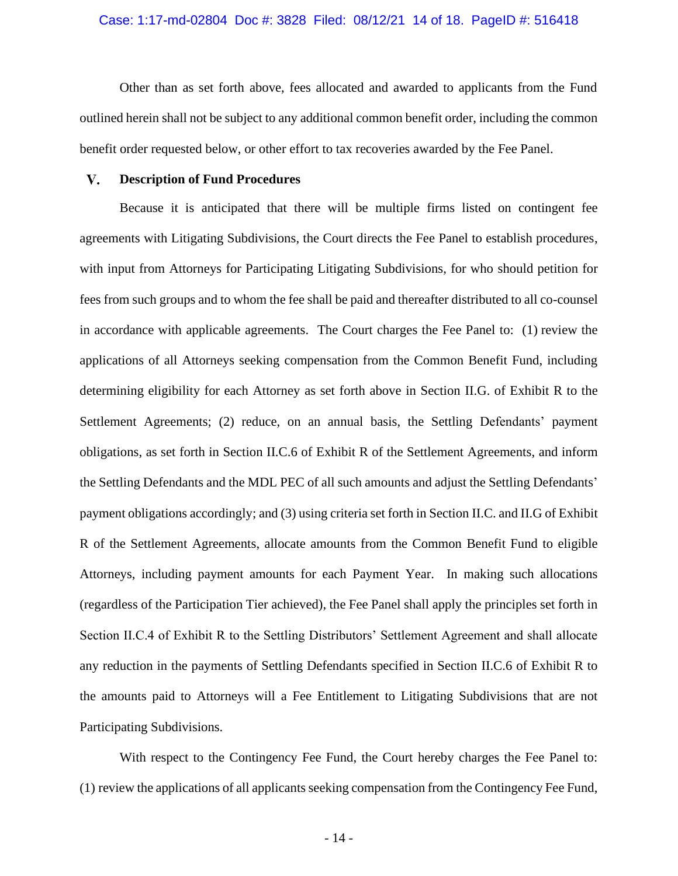Other than as set forth above, fees allocated and awarded to applicants from the Fund outlined herein shall not be subject to any additional common benefit order, including the common benefit order requested below, or other effort to tax recoveries awarded by the Fee Panel.

#### $V_{\star}$ **Description of Fund Procedures**

Because it is anticipated that there will be multiple firms listed on contingent fee agreements with Litigating Subdivisions, the Court directs the Fee Panel to establish procedures, with input from Attorneys for Participating Litigating Subdivisions, for who should petition for fees from such groups and to whom the fee shall be paid and thereafter distributed to all co-counsel in accordance with applicable agreements. The Court charges the Fee Panel to: (1) review the applications of all Attorneys seeking compensation from the Common Benefit Fund, including determining eligibility for each Attorney as set forth above in Section II.G. of Exhibit R to the Settlement Agreements; (2) reduce, on an annual basis, the Settling Defendants' payment obligations, as set forth in Section II.C.6 of Exhibit R of the Settlement Agreements, and inform the Settling Defendants and the MDL PEC of all such amounts and adjust the Settling Defendants' payment obligations accordingly; and (3) using criteria set forth in Section II.C. and II.G of Exhibit R of the Settlement Agreements, allocate amounts from the Common Benefit Fund to eligible Attorneys, including payment amounts for each Payment Year. In making such allocations (regardless of the Participation Tier achieved), the Fee Panel shall apply the principles set forth in Section II.C.4 of Exhibit R to the Settling Distributors' Settlement Agreement and shall allocate any reduction in the payments of Settling Defendants specified in Section II.C.6 of Exhibit R to the amounts paid to Attorneys will a Fee Entitlement to Litigating Subdivisions that are not Participating Subdivisions.

With respect to the Contingency Fee Fund, the Court hereby charges the Fee Panel to:  $(1)$  review the applications of all applicants seeking compensation from the Contingency Fee Fund,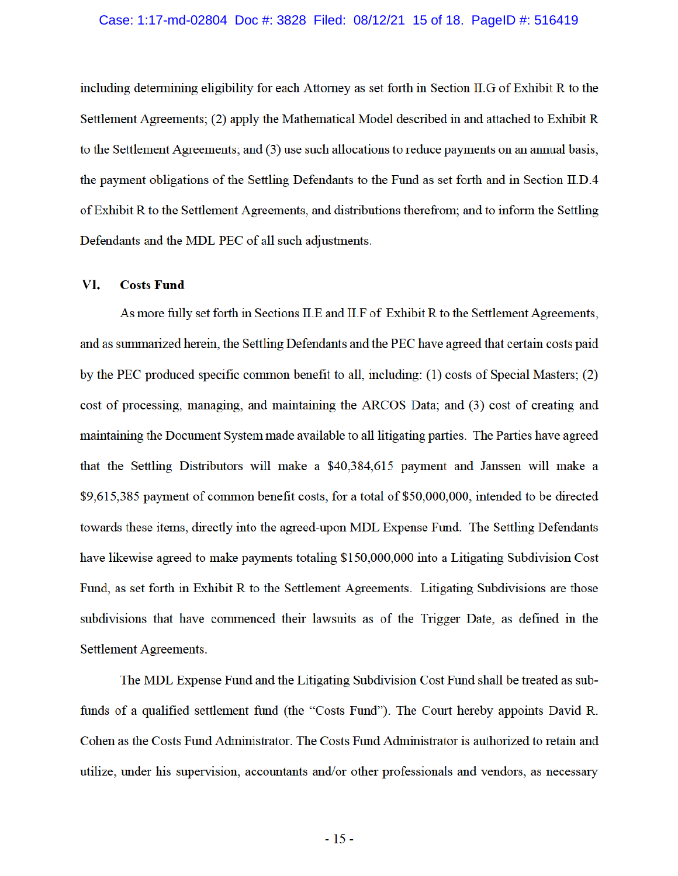including determining eligibility for each Attorney as set forth in Section II.G of Exhibit R to the Settlement Agreements; (2) apply the Mathematical Model described in and attached to Exhibit R to the Settlement Agreements; and (3) use such allocations to reduce payments on an annual basis, the payment obligations of the Settling Defendants to the Fund as set forth and in Section II.D.4 of Exhibit R to the Settlement Agreements, and distributions therefrom; and to inform the Settling Defendants and the MDL PEC of all such adjustments.

#### VI. **Costs Fund**

As more fully set forth in Sections II.E and II.F of Exhibit R to the Settlement Agreements, and as summarized herein, the Settling Defendants and the PEC have agreed that certain costs paid by the PEC produced specific common benefit to all, including: (1) costs of Special Masters; (2) cost of processing, managing, and maintaining the ARCOS Data; and (3) cost of creating and maintaining the Document System made available to all litigating parties. The Parties have agreed that the Settling Distributors will make a \$40,384,615 payment and Janssen will make a \$9,615,385 payment of common benefit costs, for a total of \$50,000,000, intended to be directed towards these items, directly into the agreed-upon MDL Expense Fund. The Settling Defendants have likewise agreed to make payments totaling \$150,000,000 into a Litigating Subdivision Cost Fund, as set forth in Exhibit R to the Settlement Agreements. Litigating Subdivisions are those subdivisions that have commenced their lawsuits as of the Trigger Date, as defined in the Settlement Agreements.

The MDL Expense Fund and the Litigating Subdivision Cost Fund shall be treated as subfunds of a qualified settlement fund (the "Costs Fund"). The Court hereby appoints David R. Cohen as the Costs Fund Administrator. The Costs Fund Administrator is authorized to retain and utilize, under his supervision, accountants and/or other professionals and vendors, as necessary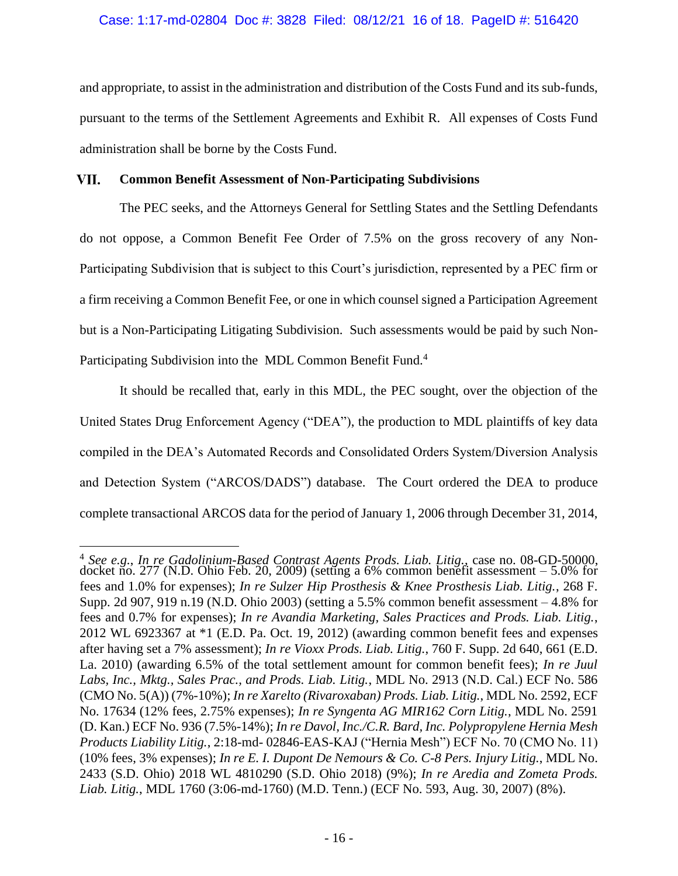## Case: 1:17-md-02804 Doc #: 3828 Filed: 08/12/21 16 of 18. PageID #: 516420

and appropriate, to assist in the administration and distribution of the Costs Fund and its sub-funds, pursuant to the terms of the Settlement Agreements and Exhibit R. All expenses of Costs Fund administration shall be borne by the Costs Fund.

### VII. **Common Benefit Assessment of Non-Participating Subdivisions**

The PEC seeks, and the Attorneys General for Settling States and the Settling Defendants do not oppose, a Common Benefit Fee Order of 7.5% on the gross recovery of any Non-Participating Subdivision that is subject to this Court's jurisdiction, represented by a PEC firm or a firm receiving a Common Benefit Fee, or one in which counsel signed a Participation Agreement but is a Non-Participating Litigating Subdivision. Such assessments would be paid by such Non-Participating Subdivision into the MDL Common Benefit Fund.<sup>4</sup>

It should be recalled that, early in this MDL, the PEC sought, over the objection of the United States Drug Enforcement Agency ("DEA"), the production to MDL plaintiffs of key data compiled in the DEA's Automated Records and Consolidated Orders System/Diversion Analysis and Detection System ("ARCOS/DADS") database. The Court ordered the DEA to produce complete transactional ARCOS data for the period of January 1, 2006 through December 31, 2014,

<sup>4</sup> *See e.g.*, *In re Gadolinium-Based Contrast Agents Prods. Liab. Litig.*, case no. 08-GD-50000, docket no. 277 (N.D. Ohio Feb. 20, 2009) (setting a 6% common benefit assessment – 5.0% for fees and 1.0% for expenses); *In re Sulzer Hip Prosthesis & Knee Prosthesis Liab. Litig.*, 268 F. Supp. 2d 907, 919 n.19 (N.D. Ohio 2003) (setting a 5.5% common benefit assessment – 4.8% for fees and 0.7% for expenses); *In re Avandia Marketing, Sales Practices and Prods. Liab. Litig.*, 2012 WL 6923367 at \*1 (E.D. Pa. Oct. 19, 2012) (awarding common benefit fees and expenses after having set a 7% assessment); *In re Vioxx Prods. Liab. Litig.*, 760 F. Supp. 2d 640, 661 (E.D. La. 2010) (awarding 6.5% of the total settlement amount for common benefit fees); *In re Juul Labs, Inc., Mktg., Sales Prac., and Prods. Liab. Litig.*, MDL No. 2913 (N.D. Cal.) ECF No. 586 (CMO No. 5(A)) (7%-10%); *In re Xarelto (Rivaroxaban) Prods. Liab. Litig.*, MDL No. 2592, ECF No. 17634 (12% fees, 2.75% expenses); *In re Syngenta AG MIR162 Corn Litig.*, MDL No. 2591 (D. Kan.) ECF No. 936 (7.5%-14%); *In re Davol, Inc./C.R. Bard, Inc. Polypropylene Hernia Mesh Products Liability Litig.*, 2:18-md- 02846-EAS-KAJ ("Hernia Mesh") ECF No. 70 (CMO No. 11) (10% fees, 3% expenses); *In re E. I. Dupont De Nemours & Co. C-8 Pers. Injury Litig.*, MDL No. 2433 (S.D. Ohio) 2018 WL 4810290 (S.D. Ohio 2018) (9%); *In re Aredia and Zometa Prods. Liab. Litig.*, MDL 1760 (3:06-md-1760) (M.D. Tenn.) (ECF No. 593, Aug. 30, 2007) (8%).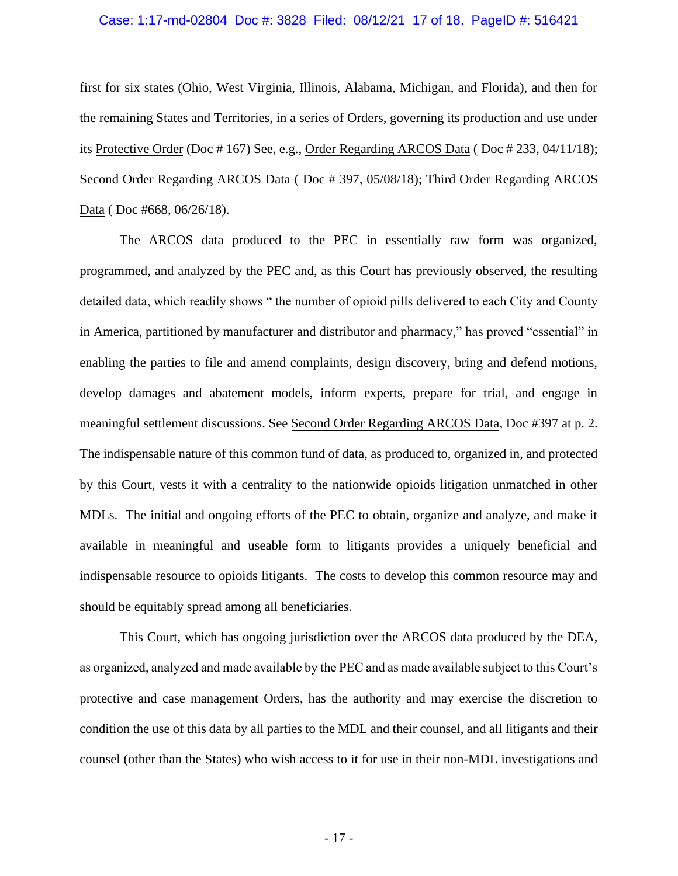## Case: 1:17-md-02804 Doc #: 3828 Filed: 08/12/21 17 of 18. PageID #: 516421

first for six states (Ohio, West Virginia, Illinois, Alabama, Michigan, and Florida), and then for the remaining States and Territories, in a series of Orders, governing its production and use under its Protective Order (Doc # 167) See, e.g., Order Regarding ARCOS Data ( Doc # 233, 04/11/18); Second Order Regarding ARCOS Data ( Doc # 397, 05/08/18); Third Order Regarding ARCOS Data ( Doc #668, 06/26/18).

The ARCOS data produced to the PEC in essentially raw form was organized, programmed, and analyzed by the PEC and, as this Court has previously observed, the resulting detailed data, which readily shows " the number of opioid pills delivered to each City and County in America, partitioned by manufacturer and distributor and pharmacy," has proved "essential" in enabling the parties to file and amend complaints, design discovery, bring and defend motions, develop damages and abatement models, inform experts, prepare for trial, and engage in meaningful settlement discussions. See Second Order Regarding ARCOS Data, Doc #397 at p. 2. The indispensable nature of this common fund of data, as produced to, organized in, and protected by this Court, vests it with a centrality to the nationwide opioids litigation unmatched in other MDLs. The initial and ongoing efforts of the PEC to obtain, organize and analyze, and make it available in meaningful and useable form to litigants provides a uniquely beneficial and indispensable resource to opioids litigants. The costs to develop this common resource may and should be equitably spread among all beneficiaries.

This Court, which has ongoing jurisdiction over the ARCOS data produced by the DEA, as organized, analyzed and made available by the PEC and as made available subject to this Court's protective and case management Orders, has the authority and may exercise the discretion to condition the use of this data by all parties to the MDL and their counsel, and all litigants and their counsel (other than the States) who wish access to it for use in their non-MDL investigations and